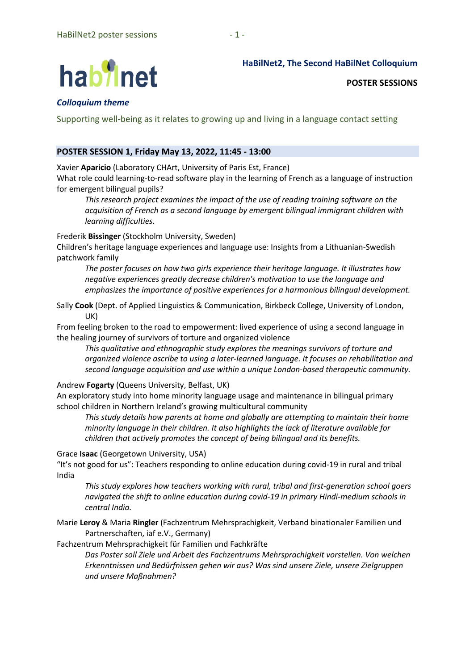# hab<sup>9</sup>inet

**HaBilNet2, The Second HaBilNet Colloquium**

**POSTER SESSIONS**

# *Colloquium theme*

Supporting well-being as it relates to growing up and living in a language contact setting

## **POSTER SESSION 1, Friday May 13, 2022, 11:45 - 13:00**

Xavier **Aparicio** (Laboratory CHArt, University of Paris Est, France)

What role could learning-to-read software play in the learning of French as a language of instruction for emergent bilingual pupils?

*This research project examines the impact of the use of reading training software on the acquisition of French as a second language by emergent bilingual immigrant children with learning difficulties.*

Frederik **Bissinger** (Stockholm University, Sweden)

Children's heritage language experiences and language use: Insights from a Lithuanian-Swedish patchwork family

*The poster focuses on how two girls experience their heritage language. It illustrates how negative experiences greatly decrease children's motivation to use the language and emphasizes the importance of positive experiences for a harmonious bilingual development.*

Sally **Cook** (Dept. of Applied Linguistics & Communication, Birkbeck College, University of London, UK)

From feeling broken to the road to empowerment: lived experience of using a second language in the healing journey of survivors of torture and organized violence

*This qualitative and ethnographic study explores the meanings survivors of torture and organized violence ascribe to using a later-learned language. It focuses on rehabilitation and second language acquisition and use within a unique London-based therapeutic community.*

### Andrew **Fogarty** (Queens University, Belfast, UK)

An exploratory study into home minority language usage and maintenance in bilingual primary school children in Northern Ireland's growing multicultural community

*This study details how parents at home and globally are attempting to maintain their home minority language in their children. It also highlights the lack of literature available for children that actively promotes the concept of being bilingual and its benefits.*

### Grace **Isaac** (Georgetown University, USA)

"It's not good for us": Teachers responding to online education during covid-19 in rural and tribal India

*This study explores how teachers working with rural, tribal and first-generation school goers navigated the shift to online education during covid-19 in primary Hindi-medium schools in central India.*

Marie **Leroy** & Maria **Ringler** (Fachzentrum Mehrsprachigkeit, Verband binationaler Familien und Partnerschaften, iaf e.V., Germany)

Fachzentrum Mehrsprachigkeit für Familien und Fachkräfte

*Das Poster soll Ziele und Arbeit des Fachzentrums Mehrsprachigkeit vorstellen. Von welchen Erkenntnissen und Bedürfnissen gehen wir aus? Was sind unsere Ziele, unsere Zielgruppen und unsere Maßnahmen?*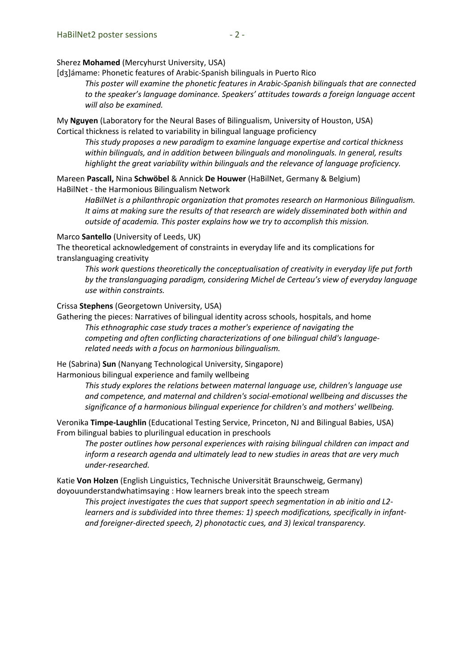#### Sherez **Mohamed** (Mercyhurst University, USA)

[dʒ]ámame: Phonetic features of Arabic-Spanish bilinguals in Puerto Rico

*This poster will examine the phonetic features in Arabic-Spanish bilinguals that are connected to the speaker's language dominance. Speakers' attitudes towards a foreign language accent will also be examined.*

My **Nguyen** (Laboratory for the Neural Bases of Bilingualism, University of Houston, USA) Cortical thickness is related to variability in bilingual language proficiency

*This study proposes a new paradigm to examine language expertise and cortical thickness within bilinguals, and in addition between bilinguals and monolinguals. In general, results highlight the great variability within bilinguals and the relevance of language proficiency.*

Mareen **Pascall,** Nina **Schwöbel** & Annick **De Houwer** (HaBilNet, Germany & Belgium) HaBilNet - the Harmonious Bilingualism Network

*HaBilNet is a philanthropic organization that promotes research on Harmonious Bilingualism. It aims at making sure the results of that research are widely disseminated both within and outside of academia. This poster explains how we try to accomplish this mission.*

#### Marco **Santello** (University of Leeds, UK)

The theoretical acknowledgement of constraints in everyday life and its complications for translanguaging creativity

*This work questions theoretically the conceptualisation of creativity in everyday life put forth by the translanguaging paradigm, considering Michel de Certeau's view of everyday language use within constraints.*

Crissa **Stephens** (Georgetown University, USA)

Gathering the pieces: Narratives of bilingual identity across schools, hospitals, and home *This ethnographic case study traces a mother's experience of navigating the competing and often conflicting characterizations of one bilingual child's languagerelated needs with a focus on harmonious bilingualism.*

He (Sabrina) **Sun** (Nanyang Technological University, Singapore)

Harmonious bilingual experience and family wellbeing

*This study explores the relations between maternal language use, children's language use and competence, and maternal and children's social-emotional wellbeing and discusses the significance of a harmonious bilingual experience for children's and mothers' wellbeing.*

Veronika **Timpe-Laughlin** (Educational Testing Service, Princeton, NJ and Bilingual Babies, USA) From bilingual babies to plurilingual education in preschools

*The poster outlines how personal experiences with raising bilingual children can impact and inform a research agenda and ultimately lead to new studies in areas that are very much under-researched.*

Katie **Von Holzen** (English Linguistics, Technische Universität Braunschweig, Germany) doyouunderstandwhatimsaying : How learners break into the speech stream

*This project investigates the cues that support speech segmentation in ab initio and L2 learners and is subdivided into three themes: 1) speech modifications, specifically in infantand foreigner-directed speech, 2) phonotactic cues, and 3) lexical transparency.*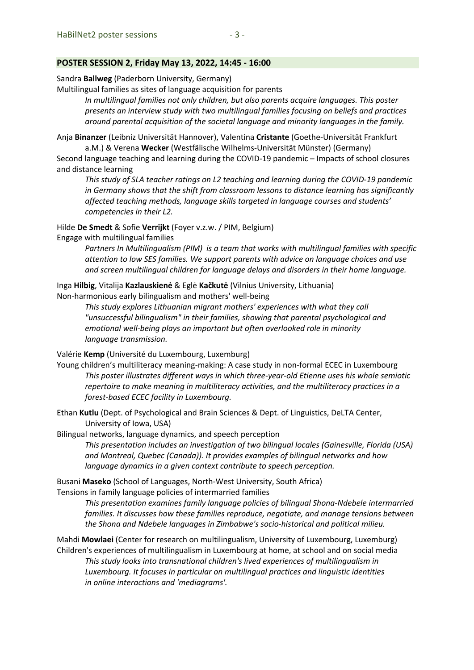#### **POSTER SESSION 2, Friday May 13, 2022, 14:45 - 16:00**

Sandra **Ballweg** (Paderborn University, Germany)

Multilingual families as sites of language acquisition for parents

*In multilingual families not only children, but also parents acquire languages. This poster presents an interview study with two multilingual families focusing on beliefs and practices around parental acquisition of the societal language and minority languages in the family.*

Anja **Binanzer** (Leibniz Universität Hannover), Valentina **Cristante** (Goethe-Universität Frankfurt a.M.) & Verena **Wecker** (Westfälische Wilhelms-Universität Münster) (Germany)

Second language teaching and learning during the COVID-19 pandemic – Impacts of school closures and distance learning

*This study of SLA teacher ratings on L2 teaching and learning during the COVID-19 pandemic in Germany shows that the shift from classroom lessons to distance learning has significantly affected teaching methods, language skills targeted in language courses and students' competencies in their L2.*

Hilde **De Smedt** & Sofie **Verrijkt** (Foyer v.z.w. / PIM, Belgium)

Engage with multilingual families

*Partners In Multilingualism (PIM) is a team that works with multilingual families with specific attention to low SES families. We support parents with advice on language choices and use and screen multilingual children for language delays and disorders in their home language.*

Inga **Hilbig**, Vitalija **Kazlauskienė** & Eglė **Kačkutė** (Vilnius University, Lithuania) Non-harmonious early bilingualism and mothers' well-being

> *This study explores Lithuanian migrant mothers' experiences with what they call "unsuccessful bilingualism" in their families, showing that parental psychological and emotional well-being plays an important but often overlooked role in minority language transmission.*

Valérie **Kemp** (Université du Luxembourg, Luxemburg)

Young children's multiliteracy meaning-making: A case study in non-formal ECEC in Luxembourg *This poster illustrates different ways in which three-year-old Etienne uses his whole semiotic repertoire to make meaning in multiliteracy activities, and the multiliteracy practices in a forest-based ECEC facility in Luxembourg.*

Ethan **Kutlu** (Dept. of Psychological and Brain Sciences & Dept. of Linguistics, DeLTA Center, University of Iowa, USA)

Bilingual networks, language dynamics, and speech perception

*This presentation includes an investigation of two bilingual locales (Gainesville, Florida (USA) and Montreal, Quebec (Canada)). It provides examples of bilingual networks and how language dynamics in a given context contribute to speech perception.*

Busani **Maseko** (School of Languages, North-West University, South Africa) Tensions in family language policies of intermarried families

> *This presentation examines family language policies of bilingual Shona-Ndebele intermarried families. It discusses how these families reproduce, negotiate, and manage tensions between the Shona and Ndebele languages in Zimbabwe's socio-historical and political milieu.*

Mahdi **Mowlaei** (Center for research on multilingualism, University of Luxembourg, Luxemburg) Children's experiences of multilingualism in Luxembourg at home, at school and on social media *This study looks into transnational children's lived experiences of multilingualism in Luxembourg. It focuses in particular on multilingual practices and linguistic identities in online interactions and 'mediagrams'.*